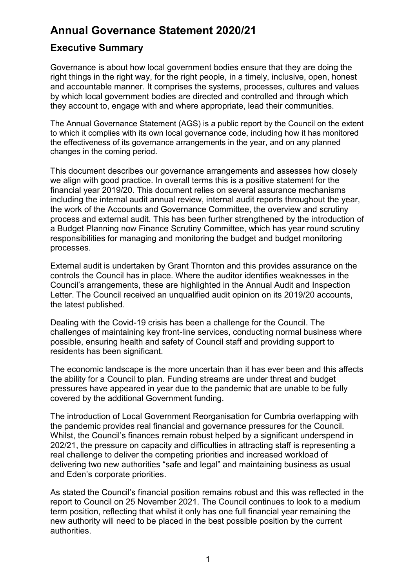# **Annual Governance Statement 2020/21**

# **Executive Summary**

Governance is about how local government bodies ensure that they are doing the right things in the right way, for the right people, in a timely, inclusive, open, honest and accountable manner. It comprises the systems, processes, cultures and values by which local government bodies are directed and controlled and through which they account to, engage with and where appropriate, lead their communities.

The Annual Governance Statement (AGS) is a public report by the Council on the extent to which it complies with its own local governance code, including how it has monitored the effectiveness of its governance arrangements in the year, and on any planned changes in the coming period.

This document describes our governance arrangements and assesses how closely we align with good practice. In overall terms this is a positive statement for the financial year 2019/20. This document relies on several assurance mechanisms including the internal audit annual review, internal audit reports throughout the year, the work of the Accounts and Governance Committee, the overview and scrutiny process and external audit. This has been further strengthened by the introduction of a Budget Planning now Finance Scrutiny Committee, which has year round scrutiny responsibilities for managing and monitoring the budget and budget monitoring processes.

External audit is undertaken by Grant Thornton and this provides assurance on the controls the Council has in place. Where the auditor identifies weaknesses in the Council's arrangements, these are highlighted in the Annual Audit and Inspection Letter. The Council received an unqualified audit opinion on its 2019/20 accounts, the latest published.

Dealing with the Covid-19 crisis has been a challenge for the Council. The challenges of maintaining key front-line services, conducting normal business where possible, ensuring health and safety of Council staff and providing support to residents has been significant.

The economic landscape is the more uncertain than it has ever been and this affects the ability for a Council to plan. Funding streams are under threat and budget pressures have appeared in year due to the pandemic that are unable to be fully covered by the additional Government funding.

The introduction of Local Government Reorganisation for Cumbria overlapping with the pandemic provides real financial and governance pressures for the Council. Whilst, the Council's finances remain robust helped by a significant underspend in 202/21, the pressure on capacity and difficulties in attracting staff is representing a real challenge to deliver the competing priorities and increased workload of delivering two new authorities "safe and legal" and maintaining business as usual and Eden's corporate priorities.

As stated the Council's financial position remains robust and this was reflected in the report to Council on 25 November 2021. The Council continues to look to a medium term position, reflecting that whilst it only has one full financial year remaining the new authority will need to be placed in the best possible position by the current authorities.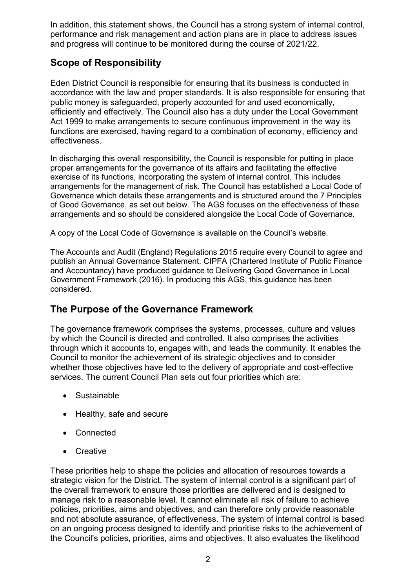In addition, this statement shows, the Council has a strong system of internal control, performance and risk management and action plans are in place to address issues and progress will continue to be monitored during the course of 2021/22.

# **Scope of Responsibility**

Eden District Council is responsible for ensuring that its business is conducted in accordance with the law and proper standards. It is also responsible for ensuring that public money is safeguarded, properly accounted for and used economically, efficiently and effectively. The Council also has a duty under the Local Government Act 1999 to make arrangements to secure continuous improvement in the way its functions are exercised, having regard to a combination of economy, efficiency and effectiveness.

In discharging this overall responsibility, the Council is responsible for putting in place proper arrangements for the governance of its affairs and facilitating the effective exercise of its functions, incorporating the system of internal control. This includes arrangements for the management of risk. The Council has established a Local Code of Governance which details these arrangements and is structured around the 7 Principles of Good Governance, as set out below. The AGS focuses on the effectiveness of these arrangements and so should be considered alongside the Local Code of Governance.

A copy of the Local Code of Governance is available on the Council's website.

The Accounts and Audit (England) Regulations 2015 require every Council to agree and publish an Annual Governance Statement. CIPFA (Chartered Institute of Public Finance and Accountancy) have produced guidance to Delivering Good Governance in Local Government Framework (2016). In producing this AGS, this guidance has been considered.

## **The Purpose of the Governance Framework**

The governance framework comprises the systems, processes, culture and values by which the Council is directed and controlled. It also comprises the activities through which it accounts to, engages with, and leads the community. It enables the Council to monitor the achievement of its strategic objectives and to consider whether those objectives have led to the delivery of appropriate and cost-effective services. The current Council Plan sets out four priorities which are:

- Sustainable
- Healthy, safe and secure
- Connected
- Creative

These priorities help to shape the policies and allocation of resources towards a strategic vision for the District. The system of internal control is a significant part of the overall framework to ensure those priorities are delivered and is designed to manage risk to a reasonable level. It cannot eliminate all risk of failure to achieve policies, priorities, aims and objectives, and can therefore only provide reasonable and not absolute assurance, of effectiveness. The system of internal control is based on an ongoing process designed to identify and prioritise risks to the achievement of the Council's policies, priorities, aims and objectives. It also evaluates the likelihood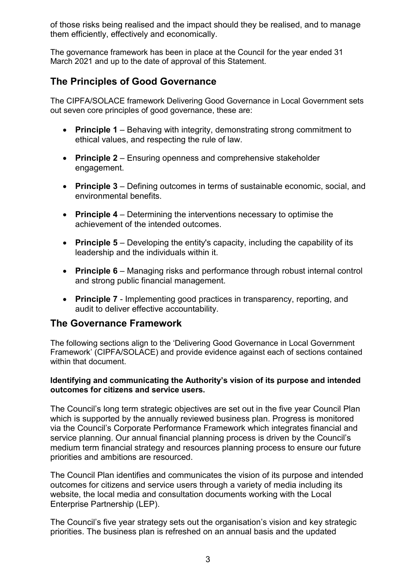of those risks being realised and the impact should they be realised, and to manage them efficiently, effectively and economically.

The governance framework has been in place at the Council for the year ended 31 March 2021 and up to the date of approval of this Statement.

# **The Principles of Good Governance**

The CIPFA/SOLACE framework Delivering Good Governance in Local Government sets out seven core principles of good governance, these are:

- **Principle 1** Behaving with integrity, demonstrating strong commitment to ethical values, and respecting the rule of law.
- **Principle 2**  Ensuring openness and comprehensive stakeholder engagement.
- **Principle 3**  Defining outcomes in terms of sustainable economic, social, and environmental benefits.
- **Principle 4**  Determining the interventions necessary to optimise the achievement of the intended outcomes.
- **Principle 5**  Developing the entity's capacity, including the capability of its leadership and the individuals within it.
- **Principle 6**  Managing risks and performance through robust internal control and strong public financial management.
- **Principle 7**  Implementing good practices in transparency, reporting, and audit to deliver effective accountability.

### **The Governance Framework**

The following sections align to the 'Delivering Good Governance in Local Government Framework' (CIPFA/SOLACE) and provide evidence against each of sections contained within that document.

### **Identifying and communicating the Authority's vision of its purpose and intended outcomes for citizens and service users.**

The Council's long term strategic objectives are set out in the five year Council Plan which is supported by the annually reviewed business plan. Progress is monitored via the Council's Corporate Performance Framework which integrates financial and service planning. Our annual financial planning process is driven by the Council's medium term financial strategy and resources planning process to ensure our future priorities and ambitions are resourced.

The Council Plan identifies and communicates the vision of its purpose and intended outcomes for citizens and service users through a variety of media including its website, the local media and consultation documents working with the Local Enterprise Partnership (LEP).

The Council's five year strategy sets out the organisation's vision and key strategic priorities. The business plan is refreshed on an annual basis and the updated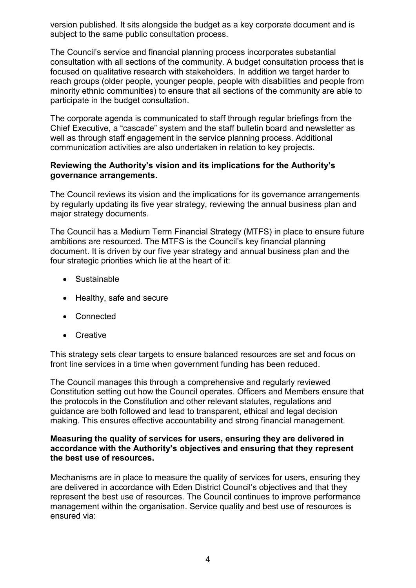version published. It sits alongside the budget as a key corporate document and is subject to the same public consultation process.

The Council's service and financial planning process incorporates substantial consultation with all sections of the community. A budget consultation process that is focused on qualitative research with stakeholders. In addition we target harder to reach groups (older people, younger people, people with disabilities and people from minority ethnic communities) to ensure that all sections of the community are able to participate in the budget consultation.

The corporate agenda is communicated to staff through regular briefings from the Chief Executive, a "cascade" system and the staff bulletin board and newsletter as well as through staff engagement in the service planning process. Additional communication activities are also undertaken in relation to key projects.

### **Reviewing the Authority's vision and its implications for the Authority's governance arrangements.**

The Council reviews its vision and the implications for its governance arrangements by regularly updating its five year strategy, reviewing the annual business plan and major strategy documents.

The Council has a Medium Term Financial Strategy (MTFS) in place to ensure future ambitions are resourced. The MTFS is the Council's key financial planning document. It is driven by our five year strategy and annual business plan and the four strategic priorities which lie at the heart of it:

- Sustainable
- Healthy, safe and secure
- Connected
- Creative

This strategy sets clear targets to ensure balanced resources are set and focus on front line services in a time when government funding has been reduced.

The Council manages this through a comprehensive and regularly reviewed Constitution setting out how the Council operates. Officers and Members ensure that the protocols in the Constitution and other relevant statutes, regulations and guidance are both followed and lead to transparent, ethical and legal decision making. This ensures effective accountability and strong financial management.

### **Measuring the quality of services for users, ensuring they are delivered in accordance with the Authority's objectives and ensuring that they represent the best use of resources.**

Mechanisms are in place to measure the quality of services for users, ensuring they are delivered in accordance with Eden District Council's objectives and that they represent the best use of resources. The Council continues to improve performance management within the organisation. Service quality and best use of resources is ensured via: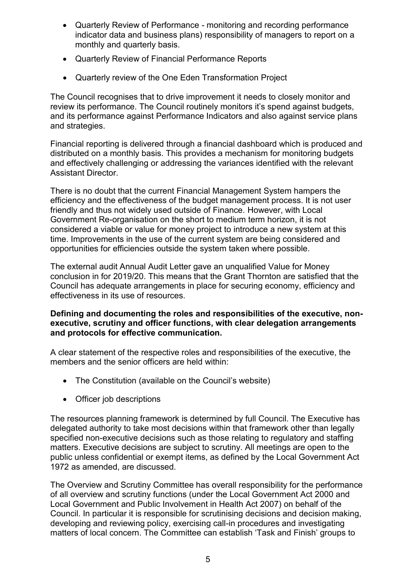- Quarterly Review of Performance monitoring and recording performance indicator data and business plans) responsibility of managers to report on a monthly and quarterly basis.
- Quarterly Review of Financial Performance Reports
- Quarterly review of the One Eden Transformation Project

The Council recognises that to drive improvement it needs to closely monitor and review its performance. The Council routinely monitors it's spend against budgets, and its performance against Performance Indicators and also against service plans and strategies.

Financial reporting is delivered through a financial dashboard which is produced and distributed on a monthly basis. This provides a mechanism for monitoring budgets and effectively challenging or addressing the variances identified with the relevant Assistant Director.

There is no doubt that the current Financial Management System hampers the efficiency and the effectiveness of the budget management process. It is not user friendly and thus not widely used outside of Finance. However, with Local Government Re-organisation on the short to medium term horizon, it is not considered a viable or value for money project to introduce a new system at this time. Improvements in the use of the current system are being considered and opportunities for efficiencies outside the system taken where possible.

The external audit Annual Audit Letter gave an unqualified Value for Money conclusion in for 2019/20. This means that the Grant Thornton are satisfied that the Council has adequate arrangements in place for securing economy, efficiency and effectiveness in its use of resources.

### **Defining and documenting the roles and responsibilities of the executive, nonexecutive, scrutiny and officer functions, with clear delegation arrangements and protocols for effective communication.**

A clear statement of the respective roles and responsibilities of the executive, the members and the senior officers are held within:

- The Constitution (available on the Council's website)
- Officer job descriptions

The resources planning framework is determined by full Council. The Executive has delegated authority to take most decisions within that framework other than legally specified non-executive decisions such as those relating to regulatory and staffing matters. Executive decisions are subject to scrutiny. All meetings are open to the public unless confidential or exempt items, as defined by the Local Government Act 1972 as amended, are discussed.

The Overview and Scrutiny Committee has overall responsibility for the performance of all overview and scrutiny functions (under the Local Government Act 2000 and Local Government and Public Involvement in Health Act 2007) on behalf of the Council. In particular it is responsible for scrutinising decisions and decision making, developing and reviewing policy, exercising call-in procedures and investigating matters of local concern. The Committee can establish 'Task and Finish' groups to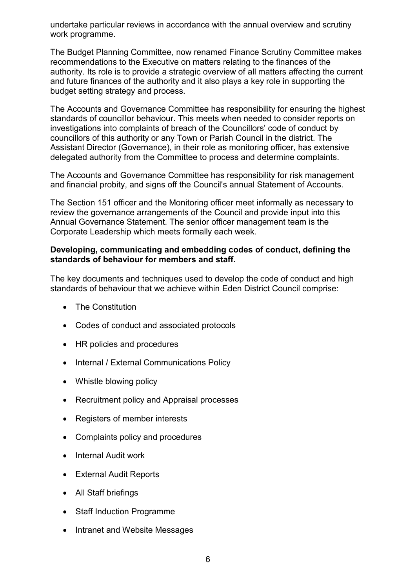undertake particular reviews in accordance with the annual overview and scrutiny work programme.

The Budget Planning Committee, now renamed Finance Scrutiny Committee makes recommendations to the Executive on matters relating to the finances of the authority. Its role is to provide a strategic overview of all matters affecting the current and future finances of the authority and it also plays a key role in supporting the budget setting strategy and process.

The Accounts and Governance Committee has responsibility for ensuring the highest standards of councillor behaviour. This meets when needed to consider reports on investigations into complaints of breach of the Councillors' code of conduct by councillors of this authority or any Town or Parish Council in the district. The Assistant Director (Governance), in their role as monitoring officer, has extensive delegated authority from the Committee to process and determine complaints.

The Accounts and Governance Committee has responsibility for risk management and financial probity, and signs off the Council's annual Statement of Accounts.

The Section 151 officer and the Monitoring officer meet informally as necessary to review the governance arrangements of the Council and provide input into this Annual Governance Statement. The senior officer management team is the Corporate Leadership which meets formally each week.

### **Developing, communicating and embedding codes of conduct, defining the standards of behaviour for members and staff.**

The key documents and techniques used to develop the code of conduct and high standards of behaviour that we achieve within Eden District Council comprise:

- The Constitution
- Codes of conduct and associated protocols
- HR policies and procedures
- Internal / External Communications Policy
- Whistle blowing policy
- Recruitment policy and Appraisal processes
- Registers of member interests
- Complaints policy and procedures
- Internal Audit work
- External Audit Reports
- All Staff briefings
- Staff Induction Programme
- Intranet and Website Messages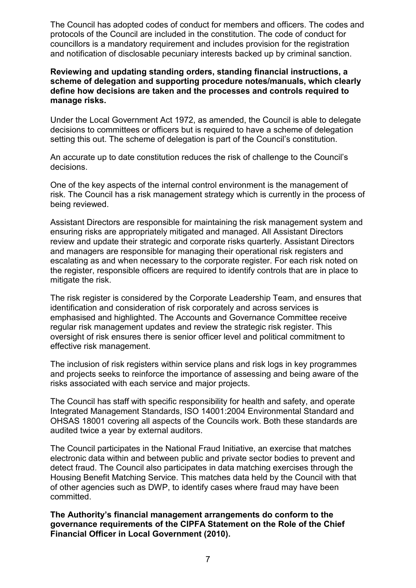The Council has adopted codes of conduct for members and officers. The codes and protocols of the Council are included in the constitution. The code of conduct for councillors is a mandatory requirement and includes provision for the registration and notification of disclosable pecuniary interests backed up by criminal sanction.

#### **Reviewing and updating standing orders, standing financial instructions, a scheme of delegation and supporting procedure notes/manuals, which clearly define how decisions are taken and the processes and controls required to manage risks.**

Under the Local Government Act 1972, as amended, the Council is able to delegate decisions to committees or officers but is required to have a scheme of delegation setting this out. The scheme of delegation is part of the Council's constitution.

An accurate up to date constitution reduces the risk of challenge to the Council's decisions.

One of the key aspects of the internal control environment is the management of risk. The Council has a risk management strategy which is currently in the process of being reviewed.

Assistant Directors are responsible for maintaining the risk management system and ensuring risks are appropriately mitigated and managed. All Assistant Directors review and update their strategic and corporate risks quarterly. Assistant Directors and managers are responsible for managing their operational risk registers and escalating as and when necessary to the corporate register. For each risk noted on the register, responsible officers are required to identify controls that are in place to mitigate the risk.

The risk register is considered by the Corporate Leadership Team, and ensures that identification and consideration of risk corporately and across services is emphasised and highlighted. The Accounts and Governance Committee receive regular risk management updates and review the strategic risk register. This oversight of risk ensures there is senior officer level and political commitment to effective risk management.

The inclusion of risk registers within service plans and risk logs in key programmes and projects seeks to reinforce the importance of assessing and being aware of the risks associated with each service and major projects.

The Council has staff with specific responsibility for health and safety, and operate Integrated Management Standards, ISO 14001:2004 Environmental Standard and OHSAS 18001 covering all aspects of the Councils work. Both these standards are audited twice a year by external auditors.

The Council participates in the National Fraud Initiative, an exercise that matches electronic data within and between public and private sector bodies to prevent and detect fraud. The Council also participates in data matching exercises through the Housing Benefit Matching Service. This matches data held by the Council with that of other agencies such as DWP, to identify cases where fraud may have been committed.

**The Authority's financial management arrangements do conform to the governance requirements of the CIPFA Statement on the Role of the Chief Financial Officer in Local Government (2010).**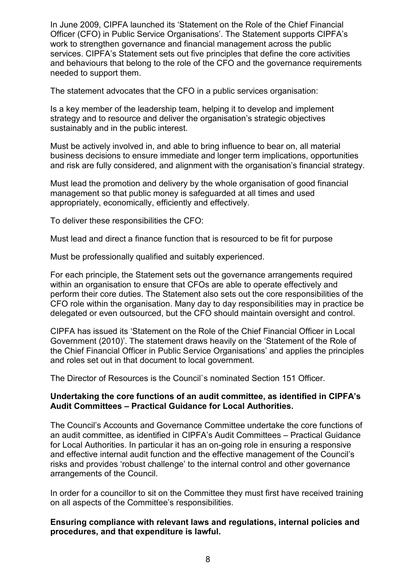In June 2009, CIPFA launched its 'Statement on the Role of the Chief Financial Officer (CFO) in Public Service Organisations'. The Statement supports CIPFA's work to strengthen governance and financial management across the public services. CIPFA's Statement sets out five principles that define the core activities and behaviours that belong to the role of the CFO and the governance requirements needed to support them.

The statement advocates that the CFO in a public services organisation:

Is a key member of the leadership team, helping it to develop and implement strategy and to resource and deliver the organisation's strategic objectives sustainably and in the public interest.

Must be actively involved in, and able to bring influence to bear on, all material business decisions to ensure immediate and longer term implications, opportunities and risk are fully considered, and alignment with the organisation's financial strategy.

Must lead the promotion and delivery by the whole organisation of good financial management so that public money is safeguarded at all times and used appropriately, economically, efficiently and effectively.

To deliver these responsibilities the CFO:

Must lead and direct a finance function that is resourced to be fit for purpose

Must be professionally qualified and suitably experienced.

For each principle, the Statement sets out the governance arrangements required within an organisation to ensure that CFOs are able to operate effectively and perform their core duties. The Statement also sets out the core responsibilities of the CFO role within the organisation. Many day to day responsibilities may in practice be delegated or even outsourced, but the CFO should maintain oversight and control.

CIPFA has issued its 'Statement on the Role of the Chief Financial Officer in Local Government (2010)'. The statement draws heavily on the 'Statement of the Role of the Chief Financial Officer in Public Service Organisations' and applies the principles and roles set out in that document to local government.

The Director of Resources is the Council`s nominated Section 151 Officer.

### **Undertaking the core functions of an audit committee, as identified in CIPFA's Audit Committees – Practical Guidance for Local Authorities.**

The Council's Accounts and Governance Committee undertake the core functions of an audit committee, as identified in CIPFA's Audit Committees – Practical Guidance for Local Authorities. In particular it has an on-going role in ensuring a responsive and effective internal audit function and the effective management of the Council's risks and provides 'robust challenge' to the internal control and other governance arrangements of the Council.

In order for a councillor to sit on the Committee they must first have received training on all aspects of the Committee's responsibilities.

### **Ensuring compliance with relevant laws and regulations, internal policies and procedures, and that expenditure is lawful.**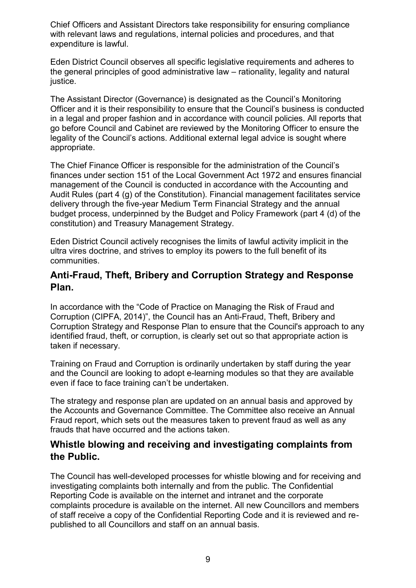Chief Officers and Assistant Directors take responsibility for ensuring compliance with relevant laws and regulations, internal policies and procedures, and that expenditure is lawful.

Eden District Council observes all specific legislative requirements and adheres to the general principles of good administrative law – rationality, legality and natural justice.

The Assistant Director (Governance) is designated as the Council's Monitoring Officer and it is their responsibility to ensure that the Council's business is conducted in a legal and proper fashion and in accordance with council policies. All reports that go before Council and Cabinet are reviewed by the Monitoring Officer to ensure the legality of the Council's actions. Additional external legal advice is sought where appropriate.

The Chief Finance Officer is responsible for the administration of the Council's finances under section 151 of the Local Government Act 1972 and ensures financial management of the Council is conducted in accordance with the Accounting and Audit Rules (part 4 (g) of the Constitution). Financial management facilitates service delivery through the five-year Medium Term Financial Strategy and the annual budget process, underpinned by the Budget and Policy Framework (part 4 (d) of the constitution) and Treasury Management Strategy.

Eden District Council actively recognises the limits of lawful activity implicit in the ultra vires doctrine, and strives to employ its powers to the full benefit of its communities.

### **Anti-Fraud, Theft, Bribery and Corruption Strategy and Response Plan.**

In accordance with the "Code of Practice on Managing the Risk of Fraud and Corruption (CIPFA, 2014)", the Council has an Anti-Fraud, Theft, Bribery and Corruption Strategy and Response Plan to ensure that the Council's approach to any identified fraud, theft, or corruption, is clearly set out so that appropriate action is taken if necessary.

Training on Fraud and Corruption is ordinarily undertaken by staff during the year and the Council are looking to adopt e-learning modules so that they are available even if face to face training can't be undertaken.

The strategy and response plan are updated on an annual basis and approved by the Accounts and Governance Committee. The Committee also receive an Annual Fraud report, which sets out the measures taken to prevent fraud as well as any frauds that have occurred and the actions taken.

## **Whistle blowing and receiving and investigating complaints from the Public.**

The Council has well-developed processes for whistle blowing and for receiving and investigating complaints both internally and from the public. The Confidential Reporting Code is available on the internet and intranet and the corporate complaints procedure is available on the internet. All new Councillors and members of staff receive a copy of the Confidential Reporting Code and it is reviewed and republished to all Councillors and staff on an annual basis.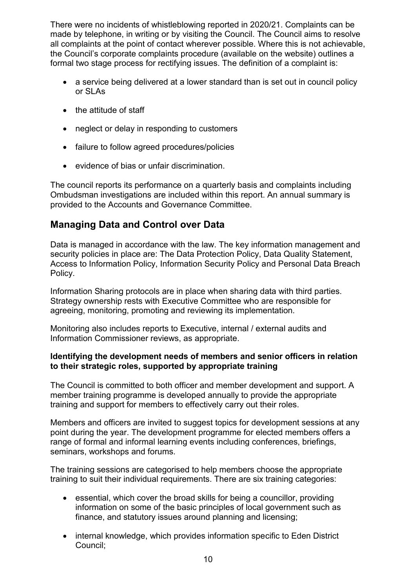There were no incidents of whistleblowing reported in 2020/21. Complaints can be made by telephone, in writing or by visiting the Council. The Council aims to resolve all complaints at the point of contact wherever possible. Where this is not achievable, the Council's corporate complaints procedure (available on the website) outlines a formal two stage process for rectifying issues. The definition of a complaint is:

- a service being delivered at a lower standard than is set out in council policy or SLAs
- the attitude of staff
- neglect or delay in responding to customers
- failure to follow agreed procedures/policies
- evidence of bias or unfair discrimination.

The council reports its performance on a quarterly basis and complaints including Ombudsman investigations are included within this report. An annual summary is provided to the Accounts and Governance Committee.

# **Managing Data and Control over Data**

Data is managed in accordance with the law. The key information management and security policies in place are: The Data Protection Policy, Data Quality Statement, Access to Information Policy, Information Security Policy and Personal Data Breach Policy.

Information Sharing protocols are in place when sharing data with third parties. Strategy ownership rests with Executive Committee who are responsible for agreeing, monitoring, promoting and reviewing its implementation.

Monitoring also includes reports to Executive, internal / external audits and Information Commissioner reviews, as appropriate.

### **Identifying the development needs of members and senior officers in relation to their strategic roles, supported by appropriate training**

The Council is committed to both officer and member development and support. A member training programme is developed annually to provide the appropriate training and support for members to effectively carry out their roles.

Members and officers are invited to suggest topics for development sessions at any point during the year. The development programme for elected members offers a range of formal and informal learning events including conferences, briefings, seminars, workshops and forums.

The training sessions are categorised to help members choose the appropriate training to suit their individual requirements. There are six training categories:

- essential, which cover the broad skills for being a councillor, providing information on some of the basic principles of local government such as finance, and statutory issues around planning and licensing;
- internal knowledge, which provides information specific to Eden District Council;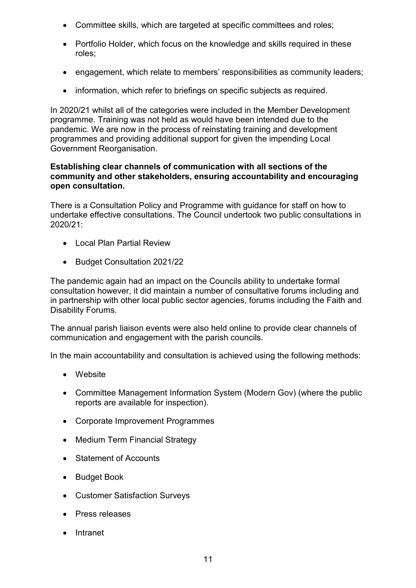- Committee skills, which are targeted at specific committees and roles;
- Portfolio Holder, which focus on the knowledge and skills required in these roles;
- engagement, which relate to members' responsibilities as community leaders;
- information, which refer to briefings on specific subjects as required.

In 2020/21 whilst all of the categories were included in the Member Development programme. Training was not held as would have been intended due to the pandemic. We are now in the process of reinstating training and development programmes and providing additional support for given the impending Local Government Reorganisation.

### **Establishing clear channels of communication with all sections of the community and other stakeholders, ensuring accountability and encouraging open consultation.**

There is a Consultation Policy and Programme with guidance for staff on how to undertake effective consultations. The Council undertook two public consultations in 2020/21:

- Local Plan Partial Review
- Budget Consultation 2021/22

The pandemic again had an impact on the Councils ability to undertake formal consultation however, it did maintain a number of consultative forums including and in partnership with other local public sector agencies, forums including the Faith and Disability Forums.

The annual parish liaison events were also held online to provide clear channels of communication and engagement with the parish councils.

In the main accountability and consultation is achieved using the following methods:

- Website
- Committee Management Information System (Modern Gov) (where the public reports are available for inspection).
- Corporate Improvement Programmes
- Medium Term Financial Strategy
- Statement of Accounts
- Budget Book
- Customer Satisfaction Surveys
- Press releases
- Intranet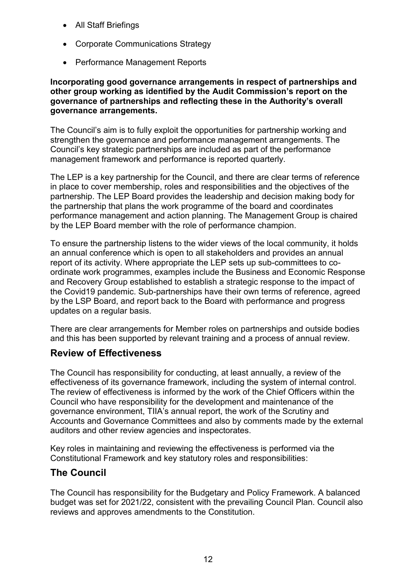- All Staff Briefings
- Corporate Communications Strategy
- Performance Management Reports

### **Incorporating good governance arrangements in respect of partnerships and other group working as identified by the Audit Commission's report on the governance of partnerships and reflecting these in the Authority's overall governance arrangements.**

The Council's aim is to fully exploit the opportunities for partnership working and strengthen the governance and performance management arrangements. The Council's key strategic partnerships are included as part of the performance management framework and performance is reported quarterly.

The LEP is a key partnership for the Council, and there are clear terms of reference in place to cover membership, roles and responsibilities and the objectives of the partnership. The LEP Board provides the leadership and decision making body for the partnership that plans the work programme of the board and coordinates performance management and action planning. The Management Group is chaired by the LEP Board member with the role of performance champion.

To ensure the partnership listens to the wider views of the local community, it holds an annual conference which is open to all stakeholders and provides an annual report of its activity. Where appropriate the LEP sets up sub-committees to coordinate work programmes, examples include the Business and Economic Response and Recovery Group established to establish a strategic response to the impact of the Covid19 pandemic. Sub-partnerships have their own terms of reference, agreed by the LSP Board, and report back to the Board with performance and progress updates on a regular basis.

There are clear arrangements for Member roles on partnerships and outside bodies and this has been supported by relevant training and a process of annual review.

## **Review of Effectiveness**

The Council has responsibility for conducting, at least annually, a review of the effectiveness of its governance framework, including the system of internal control. The review of effectiveness is informed by the work of the Chief Officers within the Council who have responsibility for the development and maintenance of the governance environment, TIIA's annual report, the work of the Scrutiny and Accounts and Governance Committees and also by comments made by the external auditors and other review agencies and inspectorates.

Key roles in maintaining and reviewing the effectiveness is performed via the Constitutional Framework and key statutory roles and responsibilities:

## **The Council**

The Council has responsibility for the Budgetary and Policy Framework. A balanced budget was set for 2021/22, consistent with the prevailing Council Plan. Council also reviews and approves amendments to the Constitution.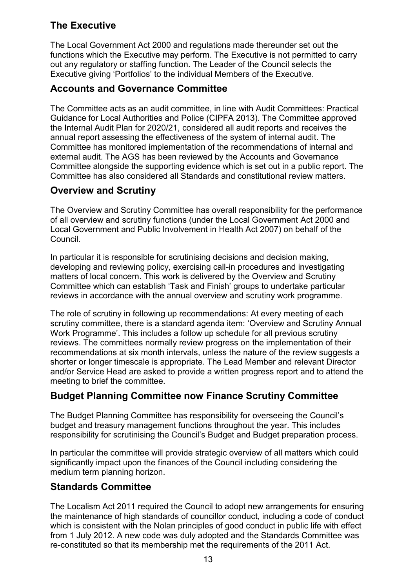# **The Executive**

The Local Government Act 2000 and regulations made thereunder set out the functions which the Executive may perform. The Executive is not permitted to carry out any regulatory or staffing function. The Leader of the Council selects the Executive giving 'Portfolios' to the individual Members of the Executive.

# **Accounts and Governance Committee**

The Committee acts as an audit committee, in line with Audit Committees: Practical Guidance for Local Authorities and Police (CIPFA 2013). The Committee approved the Internal Audit Plan for 2020/21, considered all audit reports and receives the annual report assessing the effectiveness of the system of internal audit. The Committee has monitored implementation of the recommendations of internal and external audit. The AGS has been reviewed by the Accounts and Governance Committee alongside the supporting evidence which is set out in a public report. The Committee has also considered all Standards and constitutional review matters.

# **Overview and Scrutiny**

The Overview and Scrutiny Committee has overall responsibility for the performance of all overview and scrutiny functions (under the Local Government Act 2000 and Local Government and Public Involvement in Health Act 2007) on behalf of the Council.

In particular it is responsible for scrutinising decisions and decision making, developing and reviewing policy, exercising call-in procedures and investigating matters of local concern. This work is delivered by the Overview and Scrutiny Committee which can establish 'Task and Finish' groups to undertake particular reviews in accordance with the annual overview and scrutiny work programme.

The role of scrutiny in following up recommendations: At every meeting of each scrutiny committee, there is a standard agenda item: 'Overview and Scrutiny Annual Work Programme'. This includes a follow up schedule for all previous scrutiny reviews. The committees normally review progress on the implementation of their recommendations at six month intervals, unless the nature of the review suggests a shorter or longer timescale is appropriate. The Lead Member and relevant Director and/or Service Head are asked to provide a written progress report and to attend the meeting to brief the committee.

# **Budget Planning Committee now Finance Scrutiny Committee**

The Budget Planning Committee has responsibility for overseeing the Council's budget and treasury management functions throughout the year. This includes responsibility for scrutinising the Council's Budget and Budget preparation process.

In particular the committee will provide strategic overview of all matters which could significantly impact upon the finances of the Council including considering the medium term planning horizon.

# **Standards Committee**

The Localism Act 2011 required the Council to adopt new arrangements for ensuring the maintenance of high standards of councillor conduct, including a code of conduct which is consistent with the Nolan principles of good conduct in public life with effect from 1 July 2012. A new code was duly adopted and the Standards Committee was re-constituted so that its membership met the requirements of the 2011 Act.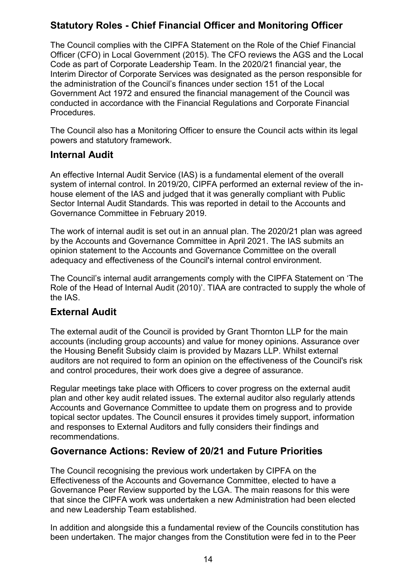# **Statutory Roles - Chief Financial Officer and Monitoring Officer**

The Council complies with the CIPFA Statement on the Role of the Chief Financial Officer (CFO) in Local Government (2015). The CFO reviews the AGS and the Local Code as part of Corporate Leadership Team. In the 2020/21 financial year, the Interim Director of Corporate Services was designated as the person responsible for the administration of the Council's finances under section 151 of the Local Government Act 1972 and ensured the financial management of the Council was conducted in accordance with the Financial Regulations and Corporate Financial Procedures.

The Council also has a Monitoring Officer to ensure the Council acts within its legal powers and statutory framework.

## **Internal Audit**

An effective Internal Audit Service (IAS) is a fundamental element of the overall system of internal control. In 2019/20, CIPFA performed an external review of the inhouse element of the IAS and judged that it was generally compliant with Public Sector Internal Audit Standards. This was reported in detail to the Accounts and Governance Committee in February 2019.

The work of internal audit is set out in an annual plan. The 2020/21 plan was agreed by the Accounts and Governance Committee in April 2021. The IAS submits an opinion statement to the Accounts and Governance Committee on the overall adequacy and effectiveness of the Council's internal control environment.

The Council's internal audit arrangements comply with the CIPFA Statement on 'The Role of the Head of Internal Audit (2010)'. TIAA are contracted to supply the whole of the IAS.

## **External Audit**

The external audit of the Council is provided by Grant Thornton LLP for the main accounts (including group accounts) and value for money opinions. Assurance over the Housing Benefit Subsidy claim is provided by Mazars LLP. Whilst external auditors are not required to form an opinion on the effectiveness of the Council's risk and control procedures, their work does give a degree of assurance.

Regular meetings take place with Officers to cover progress on the external audit plan and other key audit related issues. The external auditor also regularly attends Accounts and Governance Committee to update them on progress and to provide topical sector updates. The Council ensures it provides timely support, information and responses to External Auditors and fully considers their findings and recommendations.

## **Governance Actions: Review of 20/21 and Future Priorities**

The Council recognising the previous work undertaken by CIPFA on the Effectiveness of the Accounts and Governance Committee, elected to have a Governance Peer Review supported by the LGA. The main reasons for this were that since the CIPFA work was undertaken a new Administration had been elected and new Leadership Team established.

In addition and alongside this a fundamental review of the Councils constitution has been undertaken. The major changes from the Constitution were fed in to the Peer